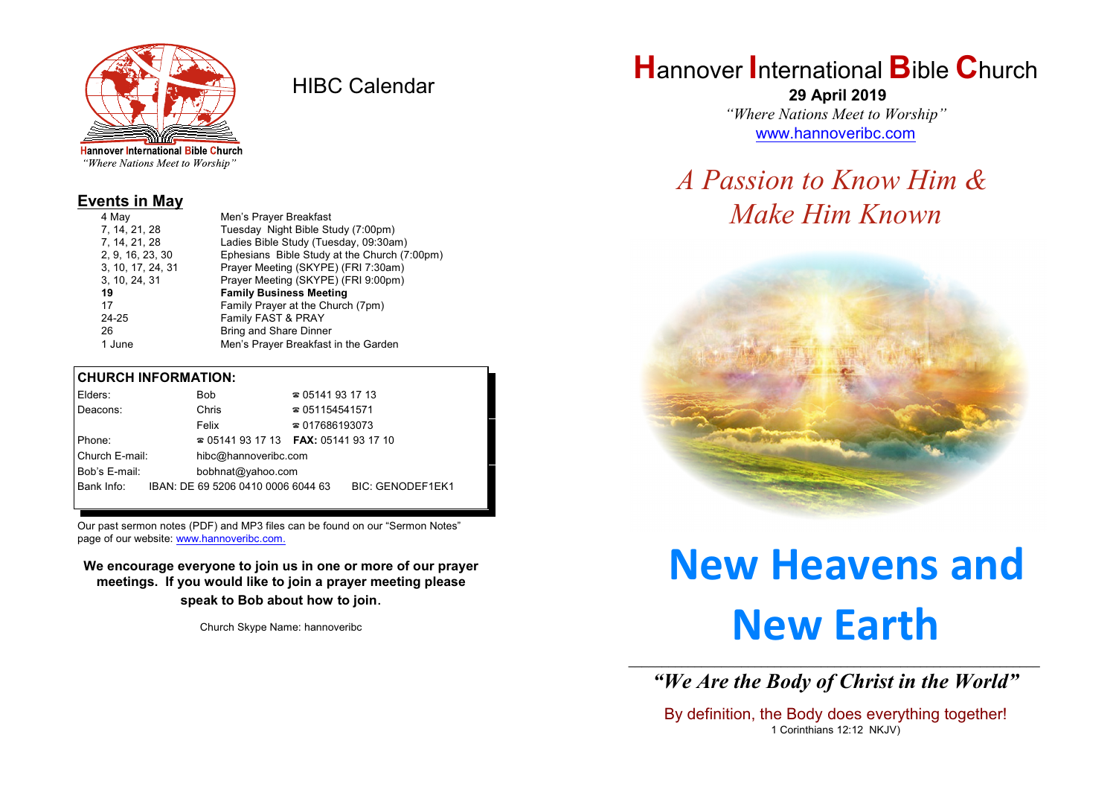

HIBC Calendar

"Where Nations Meet to Worship"

### **Events in May**

| 4 May             | Men's Prayer Breakfast                       |  |  |
|-------------------|----------------------------------------------|--|--|
| 7, 14, 21, 28     | Tuesday Night Bible Study (7:00pm)           |  |  |
| 7, 14, 21, 28     | Ladies Bible Study (Tuesday, 09:30am)        |  |  |
| 2, 9, 16, 23, 30  | Ephesians Bible Study at the Church (7:00pm) |  |  |
| 3, 10, 17, 24, 31 | Prayer Meeting (SKYPE) (FRI 7:30am)          |  |  |
| 3, 10, 24, 31     | Prayer Meeting (SKYPE) (FRI 9:00pm)          |  |  |
| 19                | <b>Family Business Meeting</b>               |  |  |
| 17                | Family Prayer at the Church (7pm)            |  |  |
| 24-25             | Family FAST & PRAY                           |  |  |
| 26                | Bring and Share Dinner                       |  |  |
| 1 June            | Men's Prayer Breakfast in the Garden         |  |  |

### **CHURCH INFORMATION:**

| Elders:                            |  | <b>Bob</b>                                    | $\approx 05141931713$  |                         |
|------------------------------------|--|-----------------------------------------------|------------------------|-------------------------|
| Deacons:                           |  | Chris                                         | $\approx 051154541571$ |                         |
|                                    |  | Felix                                         | $\approx 017686193073$ |                         |
| Phone:                             |  | $\approx 05141931713$ FAX: 0514193 17 10      |                        |                         |
| Church E-mail:                     |  | hibc@hannoveribc.com                          |                        |                         |
| Bob's E-mail:<br>bobhnat@yahoo.com |  |                                               |                        |                         |
|                                    |  | Bank Info: IBAN: DE 69 5206 0410 0006 6044 63 |                        | <b>BIC: GENODEF1EK1</b> |
|                                    |  |                                               |                        |                         |

Our past sermon notes (PDF) and MP3 files can be found on our "Sermon Notes" page of our website: [www.hannoveribc.com.](http://www.hannoveribc.com.)

**We encourage everyone to join us in one or more of our prayer meetings. If you would like to join a prayer meeting please speak to Bob about how to join**.

Church Skype Name: hannoveribc

# **H**annover **I**nternational **B**ible **C**hurch

 **29 April 2019** *"Where Nations Meet to Worship"* [www.hannoveribc.com](http://www.hannoveribc.com)

## *A Passion to Know Him & Make Him Known*



# **New Heavens and New Earth**

\_\_\_\_\_\_\_\_\_\_\_\_\_\_\_\_\_\_\_\_\_\_\_\_\_\_\_\_\_\_\_\_\_\_\_\_\_\_\_\_\_\_\_\_\_\_\_\_\_\_\_\_\_\_\_\_\_\_\_\_\_\_ *"We Are the Body of Christ in the World"*

By definition, the Body does everything together! 1 Corinthians 12:12 NKJV)